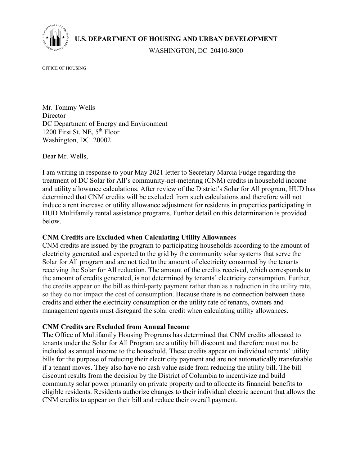

**U.S. DEPARTMENT OF HOUSING AND URBAN DEVELOPMENT** 

WASHINGTON, DC 20410-8000

OFFICE OF HOUSING

Mr. Tommy Wells **Director** DC Department of Energy and Environment 1200 First St. NE, 5<sup>th</sup> Floor Washington, DC 20002

Dear Mr. Wells,

I am writing in response to your May 2021 letter to Secretary Marcia Fudge regarding the treatment of DC Solar for All's community-net-metering (CNM) credits in household income and utility allowance calculations. After review of the District's Solar for All program, HUD has determined that CNM credits will be excluded from such calculations and therefore will not induce a rent increase or utility allowance adjustment for residents in properties participating in HUD Multifamily rental assistance programs. Further detail on this determination is provided below.

## **CNM Credits are Excluded when Calculating Utility Allowances**

CNM credits are issued by the program to participating households according to the amount of electricity generated and exported to the grid by the community solar systems that serve the Solar for All program and are not tied to the amount of electricity consumed by the tenants receiving the Solar for All reduction. The amount of the credits received, which corresponds to the amount of credits generated, is not determined by tenants' electricity consumption. Further, the credits appear on the bill as third-party payment rather than as a reduction in the utility rate, so they do not impact the cost of consumption. Because there is no connection between these credits and either the electricity consumption or the utility rate of tenants, owners and management agents must disregard the solar credit when calculating utility allowances.

## **CNM Credits are Excluded from Annual Income**

The Office of Multifamily Housing Programs has determined that CNM credits allocated to tenants under the Solar for All Program are a utility bill discount and therefore must not be included as annual income to the household. These credits appear on individual tenants' utility bills for the purpose of reducing their electricity payment and are not automatically transferable if a tenant moves. They also have no cash value aside from reducing the utility bill. The bill discount results from the decision by the District of Columbia to incentivize and build community solar power primarily on private property and to allocate its financial benefits to eligible residents. Residents authorize changes to their individual electric account that allows the CNM credits to appear on their bill and reduce their overall payment.